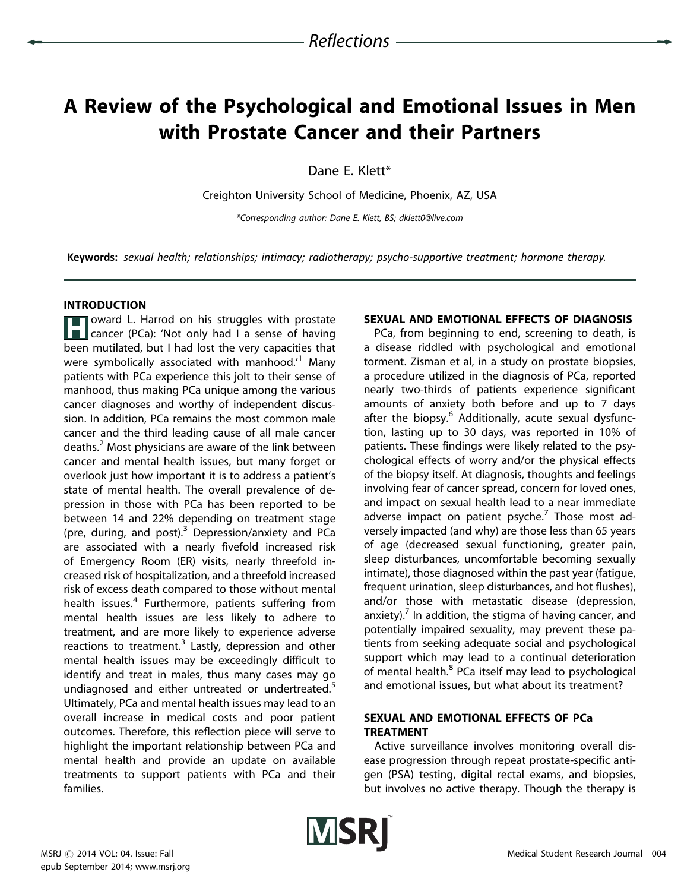# A Review of the Psychological and Emotional Issues in Men with Prostate Cancer and their Partners

Dane E. Klett\*

Creighton University School of Medicine, Phoenix, AZ, USA \*Corresponding author: Dane E. Klett, BS; dklett0@live.com

Keywords: sexual health; relationships; intimacy; radiotherapy; psycho-supportive treatment; hormone therapy.

## INTRODUCTION

**Toward L. Harrod on his struggles with prostate TH** cancer (PCa): 'Not only had I a sense of having been mutilated, but I had lost the very capacities that were symbolically associated with manhood.<sup>1</sup> Many patients with PCa experience this jolt to their sense of manhood, thus making PCa unique among the various cancer diagnoses and worthy of independent discussion. In addition, PCa remains the most common male cancer and the third leading cause of all male cancer deaths.<sup>2</sup> Most physicians are aware of the link between cancer and mental health issues, but many forget or overlook just how important it is to address a patient's state of mental health. The overall prevalence of depression in those with PCa has been reported to be between 14 and 22% depending on treatment stage (pre, during, and post).<sup>3</sup> Depression/anxiety and PCa are associated with a nearly fivefold increased risk of Emergency Room (ER) visits, nearly threefold increased risk of hospitalization, and a threefold increased risk of excess death compared to those without mental health issues.<sup>4</sup> Furthermore, patients suffering from mental health issues are less likely to adhere to treatment, and are more likely to experience adverse reactions to treatment. $3$  Lastly, depression and other mental health issues may be exceedingly difficult to identify and treat in males, thus many cases may go undiagnosed and either untreated or undertreated.<sup>5</sup> Ultimately, PCa and mental health issues may lead to an overall increase in medical costs and poor patient outcomes. Therefore, this reflection piece will serve to highlight the important relationship between PCa and mental health and provide an update on available treatments to support patients with PCa and their families.

## SEXUAL AND EMOTIONAL EFFECTS OF DIAGNOSIS

PCa, from beginning to end, screening to death, is a disease riddled with psychological and emotional torment. Zisman et al, in a study on prostate biopsies, a procedure utilized in the diagnosis of PCa, reported nearly two-thirds of patients experience significant amounts of anxiety both before and up to 7 days after the biopsy.<sup>6</sup> Additionally, acute sexual dysfunction, lasting up to 30 days, was reported in 10% of patients. These findings were likely related to the psychological effects of worry and/or the physical effects of the biopsy itself. At diagnosis, thoughts and feelings involving fear of cancer spread, concern for loved ones, and impact on sexual health lead to a near immediate adverse impact on patient psyche. $<sup>7</sup>$  Those most ad-</sup> versely impacted (and why) are those less than 65 years of age (decreased sexual functioning, greater pain, sleep disturbances, uncomfortable becoming sexually intimate), those diagnosed within the past year (fatigue, frequent urination, sleep disturbances, and hot flushes), and/or those with metastatic disease (depression, anxiety). $<sup>7</sup>$  In addition, the stigma of having cancer, and</sup> potentially impaired sexuality, may prevent these patients from seeking adequate social and psychological support which may lead to a continual deterioration of mental health.<sup>8</sup> PCa itself may lead to psychological and emotional issues, but what about its treatment?

## SEXUAL AND EMOTIONAL EFFECTS OF PCa TREATMENT

Active surveillance involves monitoring overall disease progression through repeat prostate-specific antigen (PSA) testing, digital rectal exams, and biopsies, but involves no active therapy. Though the therapy is

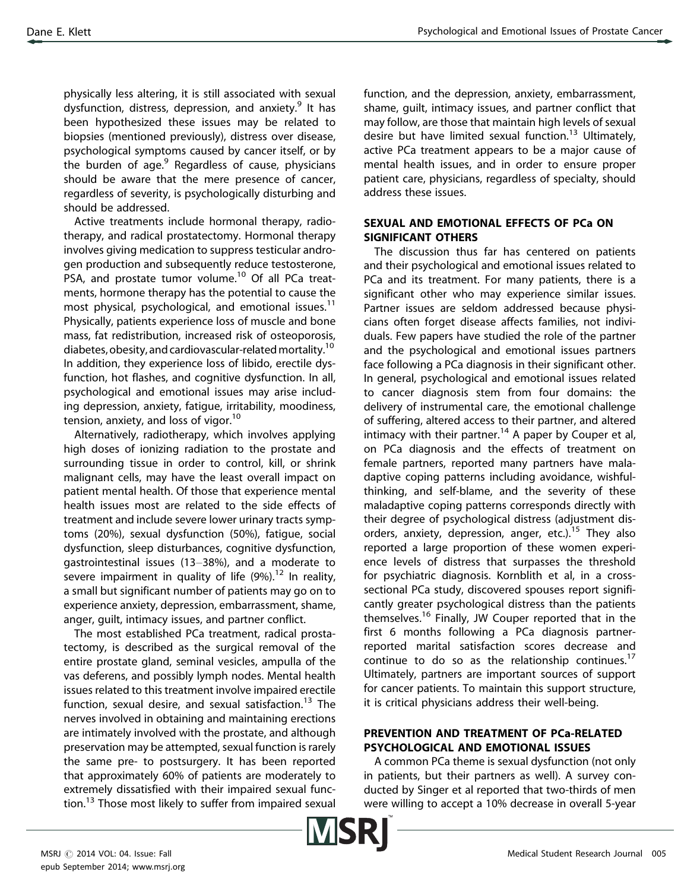physically less altering, it is still associated with sexual dysfunction, distress, depression, and anxiety. It has been hypothesized these issues may be related to biopsies (mentioned previously), distress over disease, psychological symptoms caused by cancer itself, or by the burden of age. $9$  Regardless of cause, physicians should be aware that the mere presence of cancer, regardless of severity, is psychologically disturbing and should be addressed.

Active treatments include hormonal therapy, radiotherapy, and radical prostatectomy. Hormonal therapy involves giving medication to suppress testicular androgen production and subsequently reduce testosterone, PSA, and prostate tumor volume.<sup>10</sup> Of all PCa treatments, hormone therapy has the potential to cause the most physical, psychological, and emotional issues.<sup>11</sup> Physically, patients experience loss of muscle and bone mass, fat redistribution, increased risk of osteoporosis, diabetes, obesity, and cardiovascular-related mortality.10 In addition, they experience loss of libido, erectile dysfunction, hot flashes, and cognitive dysfunction. In all, psychological and emotional issues may arise including depression, anxiety, fatigue, irritability, moodiness, tension, anxiety, and loss of vigor.<sup>10</sup>

Alternatively, radiotherapy, which involves applying high doses of ionizing radiation to the prostate and surrounding tissue in order to control, kill, or shrink malignant cells, may have the least overall impact on patient mental health. Of those that experience mental health issues most are related to the side effects of treatment and include severe lower urinary tracts symptoms (20%), sexual dysfunction (50%), fatigue, social dysfunction, sleep disturbances, cognitive dysfunction, gastrointestinal issues (13-38%), and a moderate to severe impairment in quality of life  $(9\%)$ .<sup>12</sup> In reality, a small but significant number of patients may go on to experience anxiety, depression, embarrassment, shame, anger, guilt, intimacy issues, and partner conflict.

The most established PCa treatment, radical prostatectomy, is described as the surgical removal of the entire prostate gland, seminal vesicles, ampulla of the vas deferens, and possibly lymph nodes. Mental health issues related to this treatment involve impaired erectile function, sexual desire, and sexual satisfaction.<sup>13</sup> The nerves involved in obtaining and maintaining erections are intimately involved with the prostate, and although preservation may be attempted, sexual function is rarely the same pre- to postsurgery. It has been reported that approximately 60% of patients are moderately to extremely dissatisfied with their impaired sexual function.<sup>13</sup> Those most likely to suffer from impaired sexual function, and the depression, anxiety, embarrassment, shame, guilt, intimacy issues, and partner conflict that may follow, are those that maintain high levels of sexual desire but have limited sexual function.<sup>13</sup> Ultimately, active PCa treatment appears to be a major cause of mental health issues, and in order to ensure proper patient care, physicians, regardless of specialty, should address these issues.

## SEXUAL AND EMOTIONAL EFFECTS OF PCa ON SIGNIFICANT OTHERS

The discussion thus far has centered on patients and their psychological and emotional issues related to PCa and its treatment. For many patients, there is a significant other who may experience similar issues. Partner issues are seldom addressed because physicians often forget disease affects families, not individuals. Few papers have studied the role of the partner and the psychological and emotional issues partners face following a PCa diagnosis in their significant other. In general, psychological and emotional issues related to cancer diagnosis stem from four domains: the delivery of instrumental care, the emotional challenge of suffering, altered access to their partner, and altered intimacy with their partner.<sup>14</sup> A paper by Couper et al, on PCa diagnosis and the effects of treatment on female partners, reported many partners have maladaptive coping patterns including avoidance, wishfulthinking, and self-blame, and the severity of these maladaptive coping patterns corresponds directly with their degree of psychological distress (adjustment disorders, anxiety, depression, anger, etc.).<sup>15</sup> They also reported a large proportion of these women experience levels of distress that surpasses the threshold for psychiatric diagnosis. Kornblith et al, in a crosssectional PCa study, discovered spouses report significantly greater psychological distress than the patients themselves.<sup>16</sup> Finally, JW Couper reported that in the first 6 months following a PCa diagnosis partnerreported marital satisfaction scores decrease and continue to do so as the relationship continues. $^{17}$ Ultimately, partners are important sources of support for cancer patients. To maintain this support structure, it is critical physicians address their well-being.

## PREVENTION AND TREATMENT OF PCa-RELATED PSYCHOLOGICAL AND EMOTIONAL ISSUES

A common PCa theme is sexual dysfunction (not only in patients, but their partners as well). A survey conducted by Singer et al reported that two-thirds of men were willing to accept a 10% decrease in overall 5-year

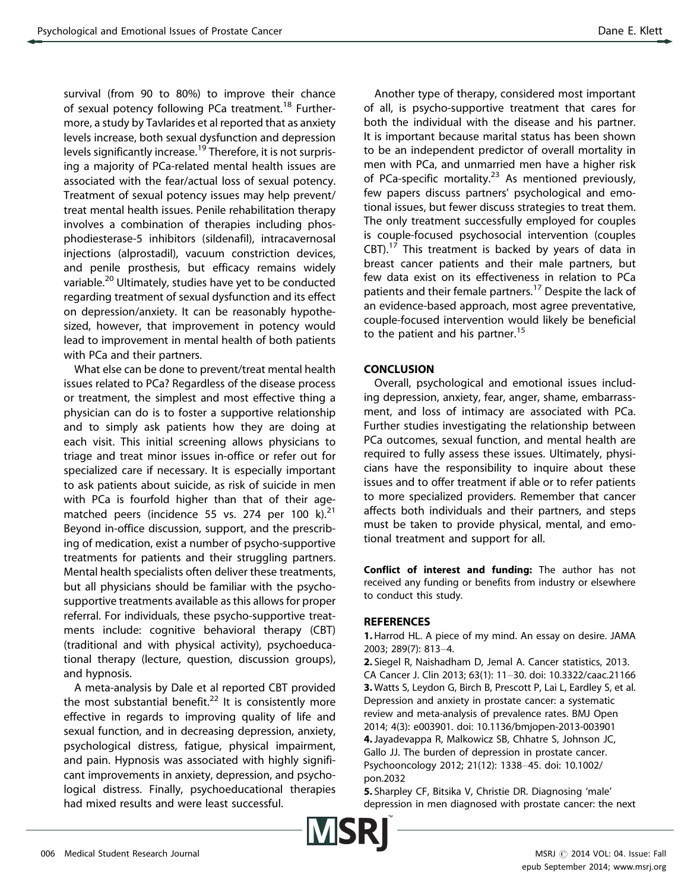survival (from 90 to 80%) to improve their chance of sexual potency following PCa treatment.<sup>18</sup> Furthermore, a study by Tavlarides et al reported that as anxiety levels increase, both sexual dysfunction and depression levels significantly increase.<sup>19</sup> Therefore, it is not surprising a majority of PCa-related mental health issues are associated with the fear/actual loss of sexual potency. Treatment of sexual potency issues may help prevent/ treat mental health issues. Penile rehabilitation therapy involves a combination of therapies including phosphodiesterase-5 inhibitors (sildenafil), intracavernosal injections (alprostadil), vacuum constriction devices, and penile prosthesis, but efficacy remains widely variable.<sup>20</sup> Ultimately, studies have yet to be conducted regarding treatment of sexual dysfunction and its effect on depression/anxiety. It can be reasonably hypothesized, however, that improvement in potency would lead to improvement in mental health of both patients with PCa and their partners.

What else can be done to prevent/treat mental health issues related to PCa? Regardless of the disease process or treatment, the simplest and most effective thing a physician can do is to foster a supportive relationship and to simply ask patients how they are doing at each visit. This initial screening allows physicians to triage and treat minor issues in-office or refer out for specialized care if necessary. It is especially important to ask patients about suicide, as risk of suicide in men with PCa is fourfold higher than that of their agematched peers (incidence 55 vs. 274 per 100 k). $^{21}$ Beyond in-office discussion, support, and the prescribing of medication, exist a number of psycho-supportive treatments for patients and their struggling partners. Mental health specialists often deliver these treatments, but all physicians should be familiar with the psychosupportive treatments available as this allows for proper referral. For individuals, these psycho-supportive treatments include: cognitive behavioral therapy (CBT) (traditional and with physical activity), psychoeducational therapy (lecture, question, discussion groups), and hypnosis.

A meta-analysis by Dale et al reported CBT provided the most substantial benefit.<sup>22</sup> It is consistently more effective in regards to improving quality of life and sexual function, and in decreasing depression, anxiety, psychological distress, fatigue, physical impairment, and pain. Hypnosis was associated with highly significant improvements in anxiety, depression, and psychological distress. Finally, psychoeducational therapies had mixed results and were least successful.

Another type of therapy, considered most important of all, is psycho-supportive treatment that cares for both the individual with the disease and his partner. It is important because marital status has been shown to be an independent predictor of overall mortality in men with PCa, and unmarried men have a higher risk of PCa-specific mortality.<sup>23</sup> As mentioned previously, few papers discuss partners' psychological and emotional issues, but fewer discuss strategies to treat them. The only treatment successfully employed for couples is couple-focused psychosocial intervention (couples  $CBT$ ).<sup>17</sup> This treatment is backed by years of data in breast cancer patients and their male partners, but few data exist on its effectiveness in relation to PCa patients and their female partners.<sup>17</sup> Despite the lack of an evidence-based approach, most agree preventative, couple-focused intervention would likely be beneficial to the patient and his partner.<sup>15</sup>

## **CONCLUSION**

Overall, psychological and emotional issues including depression, anxiety, fear, anger, shame, embarrassment, and loss of intimacy are associated with PCa. Further studies investigating the relationship between PCa outcomes, sexual function, and mental health are required to fully assess these issues. Ultimately, physicians have the responsibility to inquire about these issues and to offer treatment if able or to refer patients to more specialized providers. Remember that cancer affects both individuals and their partners, and steps must be taken to provide physical, mental, and emotional treatment and support for all.

Conflict of interest and funding: The author has not received any funding or benefits from industry or elsewhere to conduct this study.

## REFERENCES

1. Harrod HL. A piece of my mind. An essay on desire. JAMA 2003; 289(7): 813-4.

2. Siegel R, Naishadham D, Jemal A. Cancer statistics, 2013. CA Cancer J. Clin 2013; 63(1): 11-30. doi: 10.3322/caac.21166 3. Watts S, Leydon G, Birch B, Prescott P, Lai L, Eardley S, et al. Depression and anxiety in prostate cancer: a systematic review and meta-analysis of prevalence rates. BMJ Open 2014; 4(3): e003901. doi: 10.1136/bmjopen-2013-003901 4.Jayadevappa R, Malkowicz SB, Chhatre S, Johnson JC, Gallo JJ. The burden of depression in prostate cancer. Psychooncology 2012; 21(12): 1338-45. doi: 10.1002/ pon.2032

5. Sharpley CF, Bitsika V, Christie DR. Diagnosing 'male' depression in men diagnosed with prostate cancer: the next